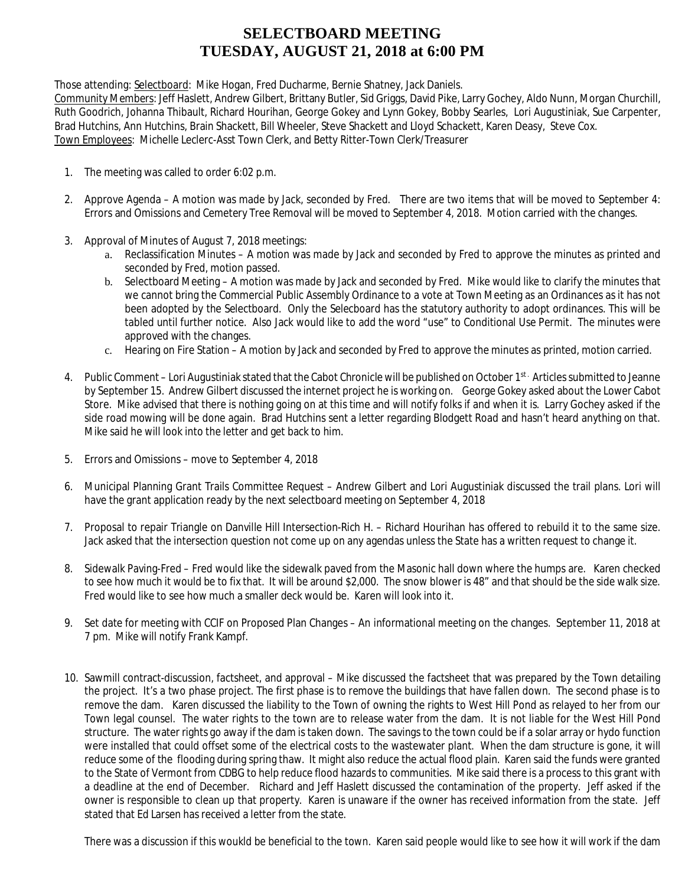## **SELECTBOARD MEETING TUESDAY, AUGUST 21, 2018 at 6:00 PM**

Those attending: Selectboard: Mike Hogan, Fred Ducharme, Bernie Shatney, Jack Daniels.

Community Members: Jeff Haslett, Andrew Gilbert, Brittany Butler, Sid Griggs, David Pike, Larry Gochey, Aldo Nunn, Morgan Churchill, Ruth Goodrich, Johanna Thibault, Richard Hourihan, George Gokey and Lynn Gokey, Bobby Searles, Lori Augustiniak, Sue Carpenter, Brad Hutchins, Ann Hutchins, Brain Shackett, Bill Wheeler, Steve Shackett and Lloyd Schackett, Karen Deasy, Steve Cox. Town Employees: Michelle Leclerc-Asst Town Clerk, and Betty Ritter-Town Clerk/Treasurer

- 1. The meeting was called to order 6:02 p.m.
- 2. Approve Agenda A motion was made by Jack, seconded by Fred. There are two items that will be moved to September 4: Errors and Omissions and Cemetery Tree Removal will be moved to September 4, 2018. Motion carried with the changes.
- 3. Approval of Minutes of August 7, 2018 meetings:
	- a. Reclassification Minutes A motion was made by Jack and seconded by Fred to approve the minutes as printed and seconded by Fred, motion passed.
	- b. Selectboard Meeting A motion was made by Jack and seconded by Fred. Mike would like to clarify the minutes that we cannot bring the Commercial Public Assembly Ordinance to a vote at Town Meeting as an Ordinances as it has not been adopted by the Selectboard. Only the Selecboard has the statutory authority to adopt ordinances. This will be tabled until further notice. Also Jack would like to add the word "use" to Conditional Use Permit. The minutes were approved with the changes.
	- c. Hearing on Fire Station A motion by Jack and seconded by Fred to approve the minutes as printed, motion carried.
- 4. Public Comment Lori Augustiniak stated that the Cabot Chronicle will be published on October 1st. Articles submitted to Jeanne by September 15. Andrew Gilbert discussed the internet project he is working on. George Gokey asked about the Lower Cabot Store. Mike advised that there is nothing going on at this time and will notify folks if and when it is. Larry Gochey asked if the side road mowing will be done again. Brad Hutchins sent a letter regarding Blodgett Road and hasn't heard anything on that. Mike said he will look into the letter and get back to him.
- 5. Errors and Omissions move to September 4, 2018
- 6. Municipal Planning Grant Trails Committee Request Andrew Gilbert and Lori Augustiniak discussed the trail plans. Lori will have the grant application ready by the next selectboard meeting on September 4, 2018
- 7. Proposal to repair Triangle on Danville Hill Intersection-Rich H. Richard Hourihan has offered to rebuild it to the same size. Jack asked that the intersection question not come up on any agendas unless the State has a written request to change it.
- 8. Sidewalk Paving-Fred Fred would like the sidewalk paved from the Masonic hall down where the humps are. Karen checked to see how much it would be to fix that. It will be around \$2,000. The snow blower is 48" and that should be the side walk size. Fred would like to see how much a smaller deck would be. Karen will look into it.
- 9. Set date for meeting with CCIF on Proposed Plan Changes An informational meeting on the changes. September 11, 2018 at 7 pm. Mike will notify Frank Kampf.
- 10. Sawmill contract-discussion, factsheet, and approval Mike discussed the factsheet that was prepared by the Town detailing the project. It's a two phase project. The first phase is to remove the buildings that have fallen down. The second phase is to remove the dam. Karen discussed the liability to the Town of owning the rights to West Hill Pond as relayed to her from our Town legal counsel. The water rights to the town are to release water from the dam. It is not liable for the West Hill Pond structure. The water rights go away if the dam is taken down. The savings to the town could be if a solar array or hydo function were installed that could offset some of the electrical costs to the wastewater plant. When the dam structure is gone, it will reduce some of the flooding during spring thaw. It might also reduce the actual flood plain. Karen said the funds were granted to the State of Vermont from CDBG to help reduce flood hazards to communities. Mike said there is a process to this grant with a deadline at the end of December. Richard and Jeff Haslett discussed the contamination of the property. Jeff asked if the owner is responsible to clean up that property. Karen is unaware if the owner has received information from the state. Jeff stated that Ed Larsen has received a letter from the state.

There was a discussion if this woukld be beneficial to the town. Karen said people would like to see how it will work if the dam